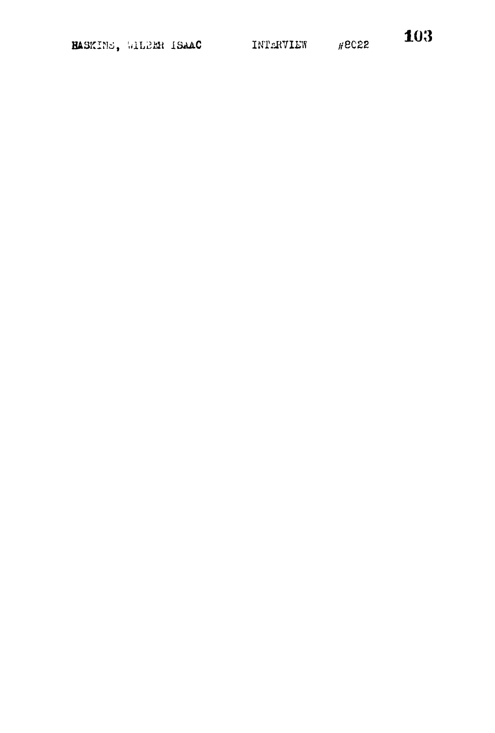103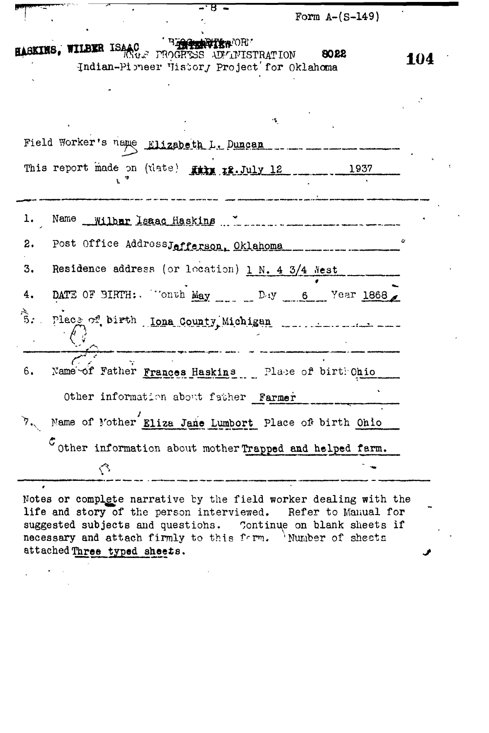Form A~(5-149)

|  | BIRTH TERMORI<br>AASKINS, WILBER ISAAC TROGRESS ADVINISTRATION |  | 8022 |
|--|----------------------------------------------------------------|--|------|
|  | Indian-Pioneer Vistory Project for Oklahoma                    |  |      |
|  |                                                                |  |      |

ਸ

104

|    | Field Worker's name Elizabeth L. Duncan                                       |
|----|-------------------------------------------------------------------------------|
|    | This report made on (tlate) File r2. July 12<br>1937                          |
| l. |                                                                               |
| 2. | U<br>Post Office AddressJefferson, Oklahoma                                   |
| 3. | Residence address (or location) 1 N. 4 3/4 Nest                               |
| 4. | DATE OF SIRTH: "Onth May ___ DAY 6 Year 1868                                  |
|    |                                                                               |
| 6. | Name of Father Frances Haskins Place of birth Ohio                            |
|    | Other information about father Farmer                                         |
|    | 7. Name of Mother Eliza Jane Lumbort Place of birth Ohio                      |
|    | $\bm{\mathcal{C}}$<br>Other information about mother Trapped and helped farm. |
|    |                                                                               |
|    |                                                                               |

Notes or complete narrative by the field worker dealing with the life and story of the person interviewed. Refer to Manual for suggested subjects and questions. Continue on blank sheets if necessary and attach firmly to this form. 'Number of sheets attached Three typed sheets.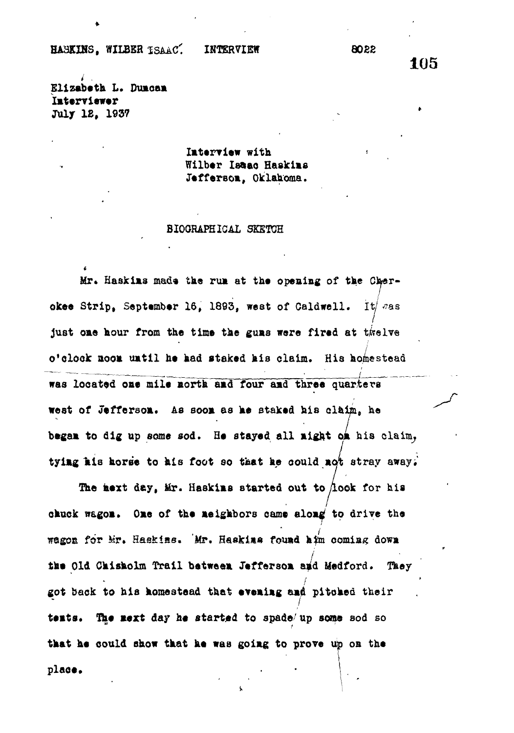HA3KINS, WILBER ISAAC<sup>\*</sup>: INTERVIEW 8022

105

**Elizabeth L. Duaoaa laterviewer July 12, 1937**

> **later? iew with Wilber Isaao Haakias Jeffersoa, Oklahoma.**

**BIOGRAPHICAL SKETCH**

Mr. Haskins made the run at the opening of the Cher**okee Strip, September 16, 1893, west of Caldwell.** It/ was **Just oae hour from the time the guas were fired at twelve o'clock aoo\* uatil he had staked his claim. His homestead was located oae mile aorth aad four aad three quarters west of Jefferson.** As soon as he staked his claim, he began to dig up some sod. He stayed all night on his claim, **tyiag ais horse to his foot so that he oould aot stray away,'**

**The aext day, tir. Haskias started out to/look for his chuck wagoa. Oae of the aeighbors came aloa^ to drive the Tagon for Mr. Haskins. Mr. Haskins found him coming down the Old Chisholm Trail betweea Jeffersoa aid Medford. Tney got back to his homestead that eveaiag aad pitched their** tents. The next day he started to spade/up some sod so **that he could show that he was goiag to prove up oa the place.**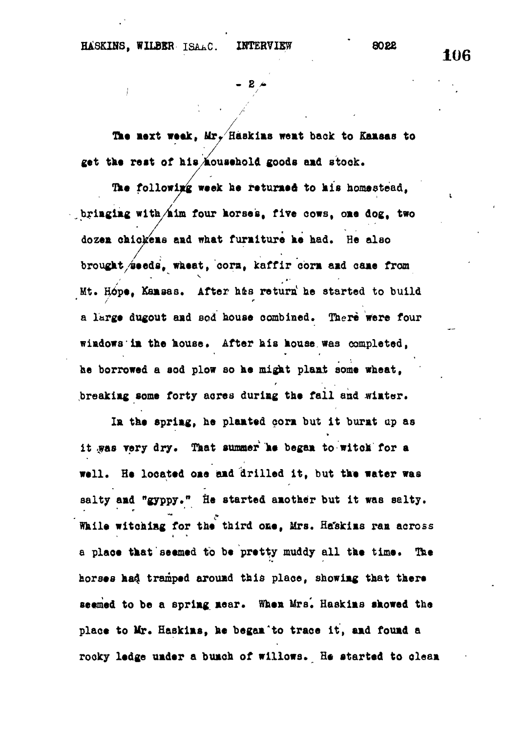$\mathcal{L}(\mathcal{L})$  and  $\mathcal{L}(\mathcal{L})$  and  $\mathcal{L}(\mathcal{L})$  and  $\mathcal{L}(\mathcal{L})$  and  $\mathcal{L}(\mathcal{L})$ 

 $\mathcal{L} = \mathcal{L} \mathcal{L} = \mathcal{L} \mathcal{L} = \mathcal{L} \mathcal{L} = \mathcal{L} \mathcal{L} = \mathcal{L} \mathcal{L} = \mathcal{L} \mathcal{L} = \mathcal{L} \mathcal{L} = \mathcal{L} \mathcal{L} = \mathcal{L} \mathcal{L} = \mathcal{L} \mathcal{L} = \mathcal{L} \mathcal{L} = \mathcal{L} \mathcal{L} = \mathcal{L} \mathcal{L} = \mathcal{L} \mathcal{L} = \mathcal{L} \mathcal{L} = \mathcal{L} \mathcal{L} = \mathcal{L$ 

 $-$  2  $\rightarrow$ 

**the mext weak, Mrr Haskias wemt back to Kaasas to get the reat of hishousehold goods amd stock.**

The following week he returned to his homestead, **, briagiag with/aim four horses, five cows, ome dog, two dozea chickeaa aad what furaiture he had. He also brought/seeds, wheat, cora, kaffir corn aad came from Mt. Hope, Kansas. After hie return<sup>1</sup> he started to build a large dugout amd sod house combined. There were four wiadows im the house. After his house was completed, he borrowed a sod plow so he might plaat some wheat,** r **breakiag some forty acres duriag the fail and wiater.**

In the spring, he planted corn but it burnt up as **Im the 8primg, he plamted cora but it burat up as** it was very dry. That summer he began to witch for a well. He located one and drilled it, but the water was salty and "gyppy." He started another but it was salty. While witching for the third one, Mrs. Heskins ran across a place that seemed to be pretty muddy all the time. The horses had tramped around this place, showing that there seemed to be a spring near. When Mrs. Haskins showed the place to Mr. Haskims, he began to trace it, and found a rocky ledge under a bunch of willows. He started to clean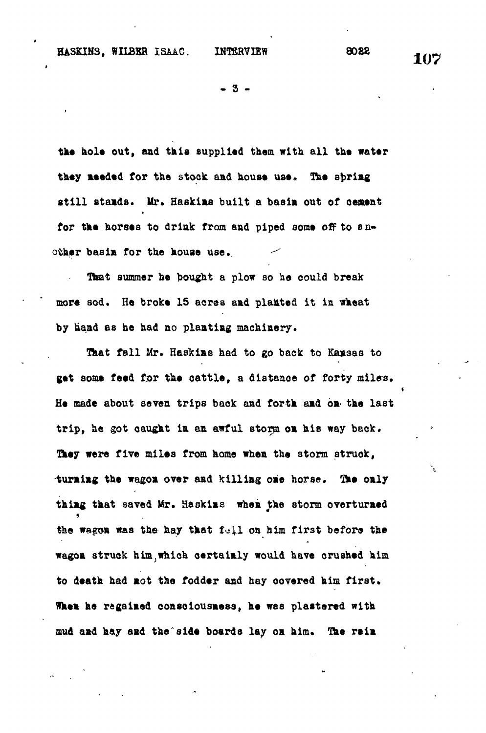**HASKIN3, WILBER ISAAC. INTERVIEW 8088 . "**

**. 3 -**

**the hole out, and this supplied them with all the water they needed for the stock and house use, The spring still atamda. Mr. Haskins built a basin out of cement** for the horses to drink from and piped some off to  $e_{1}$ . other basin for the house use.

That summer he bought a plow so he could break more sod. He broke 15 acres and planted it in wheat by hand as he had no planting machinery.

That fall Mr. Haskins had to go back to Kansas to get some feed for the cattle, a distance of forty miles. He made about seven trips back and forth and on the last trip, he got caught in an awful storm on his way back. They were five miles from home when the storm struck, turning the wagon over and killing one horse. The only **turning the wagon over and killing one horse. <sup>r</sup>Sk% only** the wagon was the hay that full on him first before the wagon struck him which certainly would have crushed him to death had not the fodder and hay covered him first. mud and hay and the side boards lay on him. The rain

**mud and hay and the side boards lay on him. Ine rain**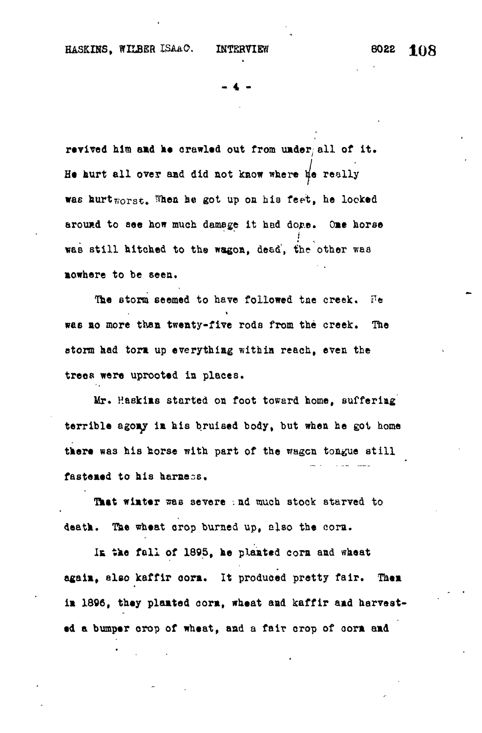**- 4 -**

revived him and he crawled out from under all of it. He hurt all over and did not know where  $\sharp$ e really **wae kurt worst, ^hea he got up on hia fee't, he looked** around to see how much damage it had dope. One horse was still hitched to the wagon, dead, the other was **«as still hitched to th® wagon, de&d', the other waa**

The storm seemed to have followed the creek.  $He$ was no more than twenty-five rods from the creek. The storm had torm up everything within reach, even the trees were uprooted in places.

Mr. Haskims started on foot toward home, suffering terrible agony in his bruised body, but when he got home there was his horse with part of the wagon tongue still fastened to his harness.

That winter was severe and much stock starved to death. The wheat crop burned up, also the corn.

In the fall of 1895, he planted corn and wheat again, also kaffir corn. It produced pretty fair. Then in 1896, they planted corn, wheat and kaffir and harvest**ia 1306, they plaated oora, wheat aad kaffir aad harvest-**

**ed a bumper orop of wheat, aad a fair crop of oora aad**